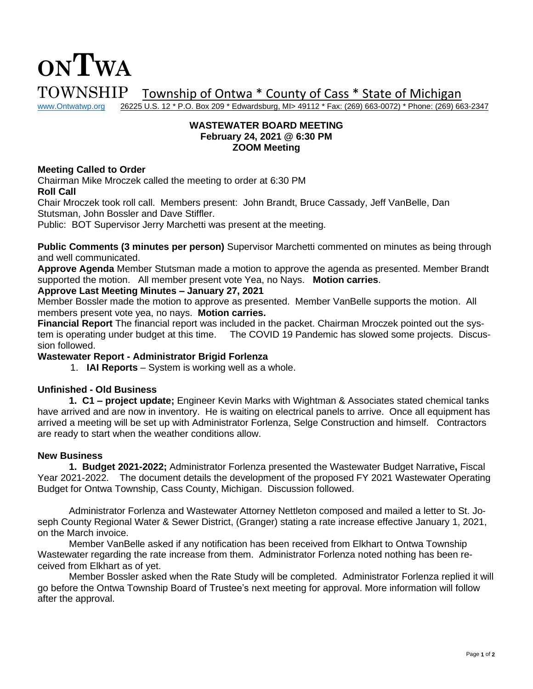

26225 U.S. 12 \* P.O. Box 209 \* Edwardsburg, MI> 49112 \* Fax: (269) 663-0072) \* Phone: (269) 663-2347

# **WASTEWATER BOARD MEETING February 24, 2021 @ 6:30 PM ZOOM Meeting**

#### **Meeting Called to Order**

**ONTWA**

Chairman Mike Mroczek called the meeting to order at 6:30 PM **Roll Call**

Chair Mroczek took roll call. Members present: John Brandt, Bruce Cassady, Jeff VanBelle, Dan Stutsman, John Bossler and Dave Stiffler.

Public: BOT Supervisor Jerry Marchetti was present at the meeting.

**Public Comments (3 minutes per person)** Supervisor Marchetti commented on minutes as being through and well communicated.

**Approve Agenda** Member Stutsman made a motion to approve the agenda as presented. Member Brandt supported the motion. All member present vote Yea, no Nays. **Motion carries**.

#### **Approve Last Meeting Minutes – January 27, 2021**

Member Bossler made the motion to approve as presented. Member VanBelle supports the motion. All members present vote yea, no nays. **Motion carries.** 

**Financial Report** The financial report was included in the packet. Chairman Mroczek pointed out the system is operating under budget at this time. The COVID 19 Pandemic has slowed some projects. Discussion followed.

# **Wastewater Report - Administrator Brigid Forlenza**

1. **IAI Reports** – System is working well as a whole.

# **Unfinished - Old Business**

**1. C1 – project update;** Engineer Kevin Marks with Wightman & Associates stated chemical tanks have arrived and are now in inventory. He is waiting on electrical panels to arrive. Once all equipment has arrived a meeting will be set up with Administrator Forlenza, Selge Construction and himself. Contractors are ready to start when the weather conditions allow.

#### **New Business**

**1. Budget 2021-2022;** Administrator Forlenza presented the Wastewater Budget Narrative**,** Fiscal Year 2021-2022. The document details the development of the proposed FY 2021 Wastewater Operating Budget for Ontwa Township, Cass County, Michigan. Discussion followed.

Administrator Forlenza and Wastewater Attorney Nettleton composed and mailed a letter to St. Joseph County Regional Water & Sewer District, (Granger) stating a rate increase effective January 1, 2021, on the March invoice.

Member VanBelle asked if any notification has been received from Elkhart to Ontwa Township Wastewater regarding the rate increase from them. Administrator Forlenza noted nothing has been received from Elkhart as of yet.

Member Bossler asked when the Rate Study will be completed. Administrator Forlenza replied it will go before the Ontwa Township Board of Trustee's next meeting for approval. More information will follow after the approval.